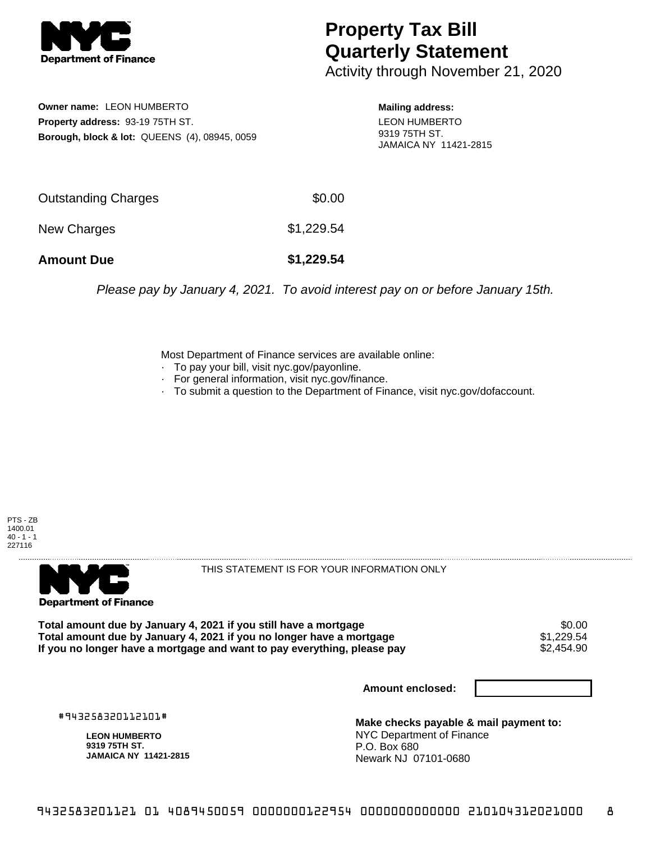

## **Property Tax Bill Quarterly Statement**

Activity through November 21, 2020

**Owner name:** LEON HUMBERTO **Property address:** 93-19 75TH ST. **Borough, block & lot:** QUEENS (4), 08945, 0059 **Mailing address:** LEON HUMBERTO 9319 75TH ST. JAMAICA NY 11421-2815

| <b>Amount Due</b>   | \$1,229.54 |
|---------------------|------------|
| New Charges         | \$1,229.54 |
| Outstanding Charges | \$0.00     |

Please pay by January 4, 2021. To avoid interest pay on or before January 15th.

Most Department of Finance services are available online:

- · To pay your bill, visit nyc.gov/payonline.
- For general information, visit nyc.gov/finance.
- · To submit a question to the Department of Finance, visit nyc.gov/dofaccount.





THIS STATEMENT IS FOR YOUR INFORMATION ONLY

Total amount due by January 4, 2021 if you still have a mortgage \$0.00<br>Total amount due by January 4, 2021 if you no longer have a mortgage \$1.229.54 **Total amount due by January 4, 2021 if you no longer have a mortgage**  $$1,229.54$$ **<br>If you no longer have a mortgage and want to pay everything, please pay**  $$2,454.90$$ If you no longer have a mortgage and want to pay everything, please pay

**Amount enclosed:**

#943258320112101#

**LEON HUMBERTO 9319 75TH ST. JAMAICA NY 11421-2815**

**Make checks payable & mail payment to:** NYC Department of Finance P.O. Box 680 Newark NJ 07101-0680